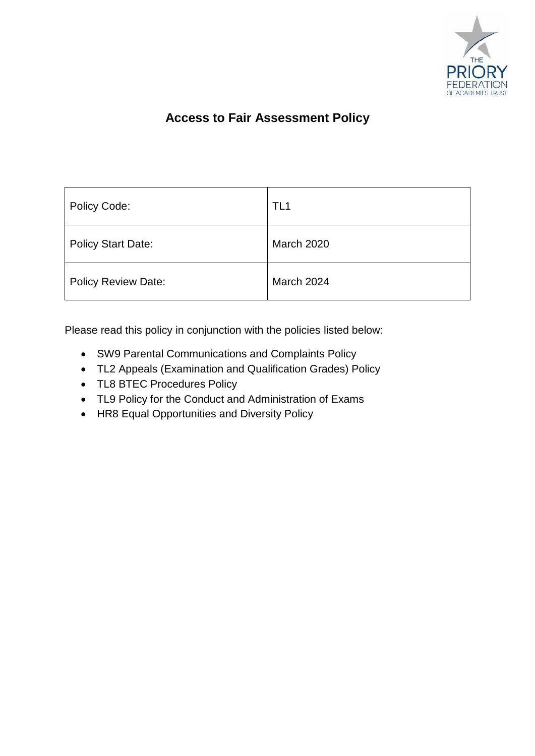

# **Access to Fair Assessment Policy**

| Policy Code:               | TL1               |
|----------------------------|-------------------|
| <b>Policy Start Date:</b>  | <b>March 2020</b> |
| <b>Policy Review Date:</b> | March 2024        |

Please read this policy in conjunction with the policies listed below:

- SW9 Parental Communications and Complaints Policy
- TL2 Appeals (Examination and Qualification Grades) Policy
- TL8 BTEC Procedures Policy
- TL9 Policy for the Conduct and Administration of Exams
- HR8 Equal Opportunities and Diversity Policy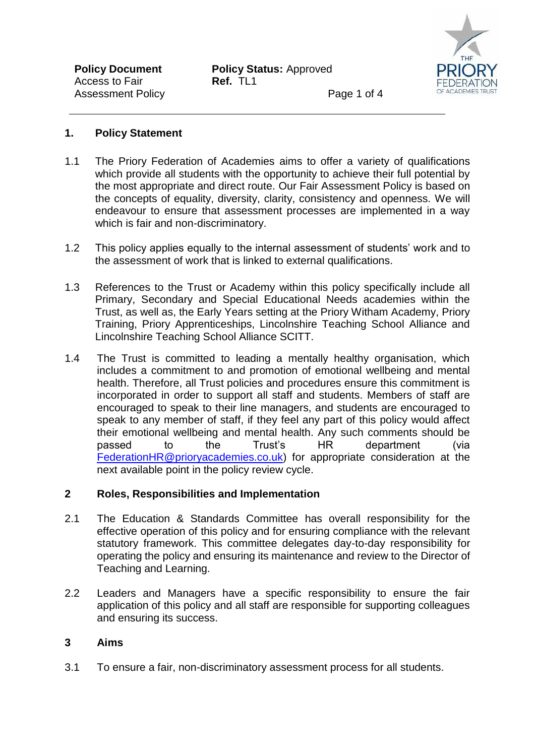

Page 1 of 4

### **1. Policy Statement**

- 1.1 The Priory Federation of Academies aims to offer a variety of qualifications which provide all students with the opportunity to achieve their full potential by the most appropriate and direct route. Our Fair Assessment Policy is based on the concepts of equality, diversity, clarity, consistency and openness. We will endeavour to ensure that assessment processes are implemented in a way which is fair and non-discriminatory.
- 1.2 This policy applies equally to the internal assessment of students' work and to the assessment of work that is linked to external qualifications.
- 1.3 References to the Trust or Academy within this policy specifically include all Primary, Secondary and Special Educational Needs academies within the Trust, as well as, the Early Years setting at the Priory Witham Academy, Priory Training, Priory Apprenticeships, Lincolnshire Teaching School Alliance and Lincolnshire Teaching School Alliance SCITT.
- 1.4 The Trust is committed to leading a mentally healthy organisation, which includes a commitment to and promotion of emotional wellbeing and mental health. Therefore, all Trust policies and procedures ensure this commitment is incorporated in order to support all staff and students. Members of staff are encouraged to speak to their line managers, and students are encouraged to speak to any member of staff, if they feel any part of this policy would affect their emotional wellbeing and mental health. Any such comments should be passed to the Trust's HR department (via [FederationHR@prioryacademies.co.uk\)](mailto:FederationHR@prioryacademies.co.uk) for appropriate consideration at the next available point in the policy review cycle.

# **2 Roles, Responsibilities and Implementation**

- 2.1 The Education & Standards Committee has overall responsibility for the effective operation of this policy and for ensuring compliance with the relevant statutory framework. This committee delegates day-to-day responsibility for operating the policy and ensuring its maintenance and review to the Director of Teaching and Learning.
- 2.2 Leaders and Managers have a specific responsibility to ensure the fair application of this policy and all staff are responsible for supporting colleagues and ensuring its success.

# **3 Aims**

3.1 To ensure a fair, non-discriminatory assessment process for all students.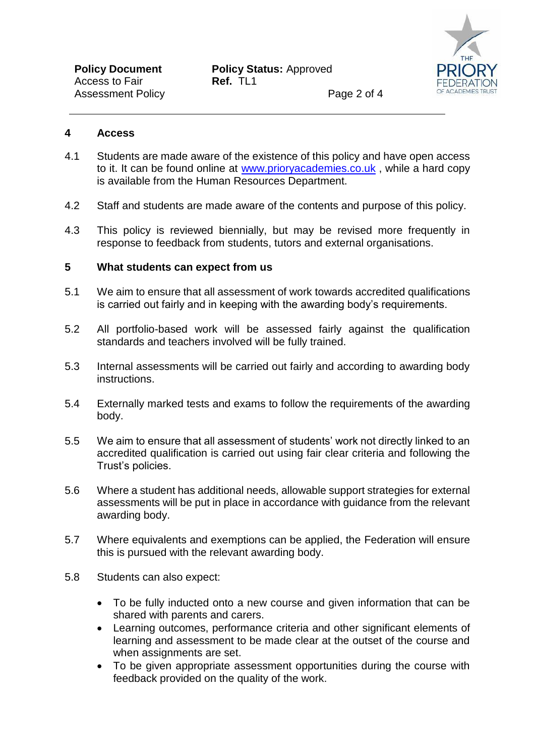

Page 2 of 4

#### **4 Access**

- 4.1 Students are made aware of the existence of this policy and have open access to it. It can be found online at [www.prioryacademies.co.uk](http://www.prioryacademies.co.uk/) , while a hard copy is available from the Human Resources Department.
- 4.2 Staff and students are made aware of the contents and purpose of this policy.
- 4.3 This policy is reviewed biennially, but may be revised more frequently in response to feedback from students, tutors and external organisations.

#### **5 What students can expect from us**

- 5.1 We aim to ensure that all assessment of work towards accredited qualifications is carried out fairly and in keeping with the awarding body's requirements.
- 5.2 All portfolio-based work will be assessed fairly against the qualification standards and teachers involved will be fully trained.
- 5.3 Internal assessments will be carried out fairly and according to awarding body instructions.
- 5.4 Externally marked tests and exams to follow the requirements of the awarding body.
- 5.5 We aim to ensure that all assessment of students' work not directly linked to an accredited qualification is carried out using fair clear criteria and following the Trust's policies.
- 5.6 Where a student has additional needs, allowable support strategies for external assessments will be put in place in accordance with guidance from the relevant awarding body.
- 5.7 Where equivalents and exemptions can be applied, the Federation will ensure this is pursued with the relevant awarding body.
- 5.8 Students can also expect:
	- To be fully inducted onto a new course and given information that can be shared with parents and carers.
	- Learning outcomes, performance criteria and other significant elements of learning and assessment to be made clear at the outset of the course and when assignments are set.
	- To be given appropriate assessment opportunities during the course with feedback provided on the quality of the work.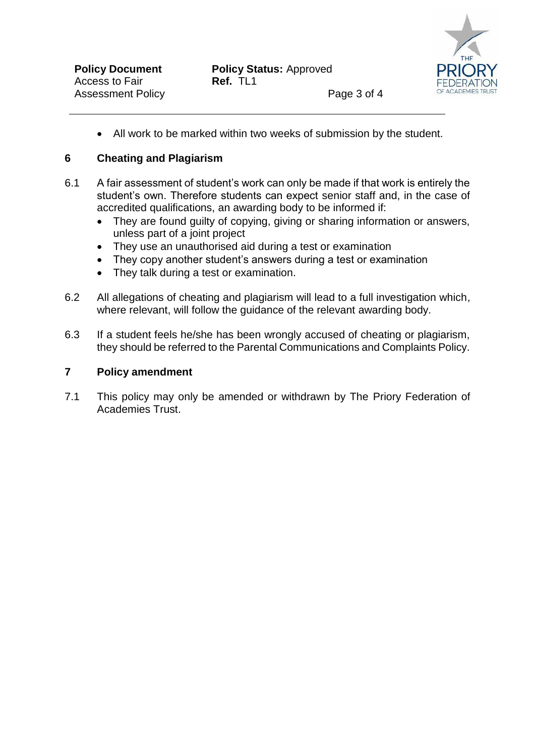

All work to be marked within two weeks of submission by the student.

### **6 Cheating and Plagiarism**

- 6.1 A fair assessment of student's work can only be made if that work is entirely the student's own. Therefore students can expect senior staff and, in the case of accredited qualifications, an awarding body to be informed if:
	- They are found quilty of copying, giving or sharing information or answers, unless part of a joint project
	- They use an unauthorised aid during a test or examination
	- They copy another student's answers during a test or examination
	- They talk during a test or examination.
- 6.2 All allegations of cheating and plagiarism will lead to a full investigation which, where relevant, will follow the guidance of the relevant awarding body.
- 6.3 If a student feels he/she has been wrongly accused of cheating or plagiarism, they should be referred to the Parental Communications and Complaints Policy.

#### **7 Policy amendment**

7.1 This policy may only be amended or withdrawn by The Priory Federation of Academies Trust.